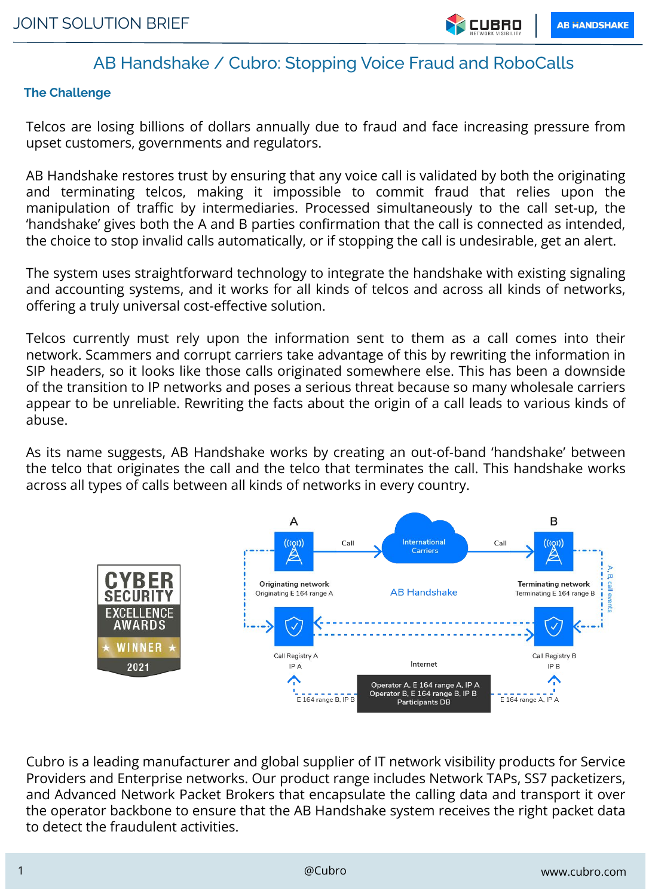

# AB Handshake / Cubro: Stopping Voice Fraud and RoboCalls

### **The Challenge**

Telcos are losing billions of dollars annually due to fraud and face increasing pressure from upset customers, governments and regulators.

AB Handshake restores trust by ensuring that any voice call is validated by both the originating and terminating telcos, making it impossible to commit fraud that relies upon the manipulation of traffic by intermediaries. Processed simultaneously to the call set-up, the 'handshake' gives both the A and B parties confirmation that the call is connected as intended, the choice to stop invalid calls automatically, or if stopping the call is undesirable, get an alert.

The system uses straightforward technology to integrate the handshake with existing signaling and accounting systems, and it works for all kinds of telcos and across all kinds of networks, offering a truly universal cost-effective solution.

Telcos currently must rely upon the information sent to them as a call comes into their network. Scammers and corrupt carriers take advantage of this by rewriting the information in SIP headers, so it looks like those calls originated somewhere else. This has been a downside of the transition to IP networks and poses a serious threat because so many wholesale carriers appear to be unreliable. Rewriting the facts about the origin of a call leads to various kinds of abuse.

As its name suggests, AB Handshake works by creating an out-of-band 'handshake' between the telco that originates the call and the telco that terminates the call. This handshake works across all types of calls between all kinds of networks in every country.



Cubro is a leading manufacturer and global supplier of IT network visibility products for Service Providers and Enterprise networks. Our product range includes Network TAPs, SS7 packetizers, and Advanced Network Packet Brokers that encapsulate the calling data and transport it over the operator backbone to ensure that the AB Handshake system receives the right packet data to detect the fraudulent activities.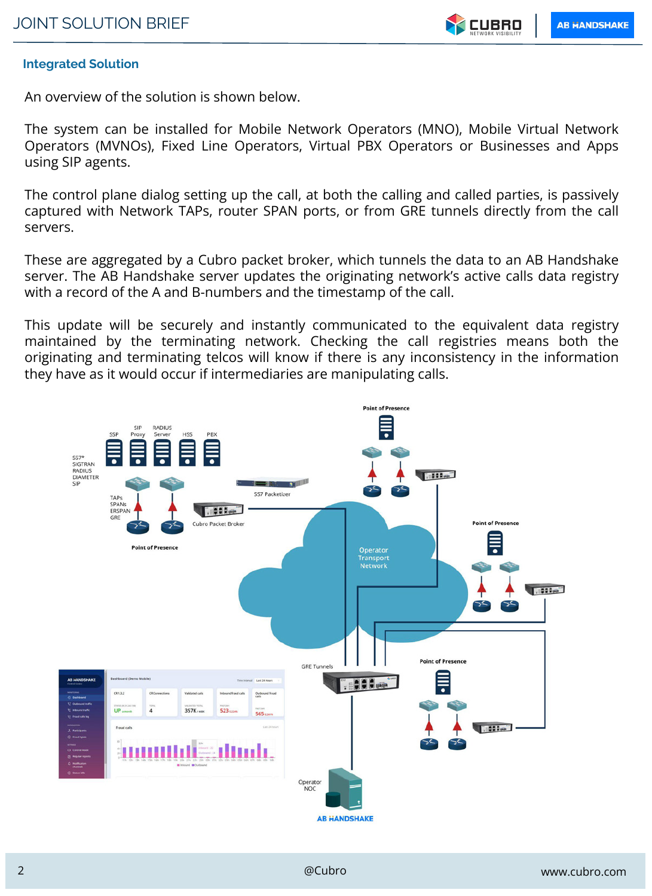## **Integrated Solution**

An overview of the solution is shown below.

The system can be installed for Mobile Network Operators (MNO), Mobile Virtual Network Operators (MVNOs), Fixed Line Operators, Virtual PBX Operators or Businesses and Apps using SIP agents.

The control plane dialog setting up the call, at both the calling and called parties, is passively captured with Network TAPs, router SPAN ports, or from GRE tunnels directly from the call servers.

These are aggregated by a Cubro packet broker, which tunnels the data to an AB Handshake server. The AB Handshake server updates the originating network's active calls data registry with a record of the A and B-numbers and the timestamp of the call.

This update will be securely and instantly communicated to the equivalent data registry maintained by the terminating network. Checking the call registries means both the originating and terminating telcos will know if there is any inconsistency in the information they have as it would occur if intermediaries are manipulating calls.

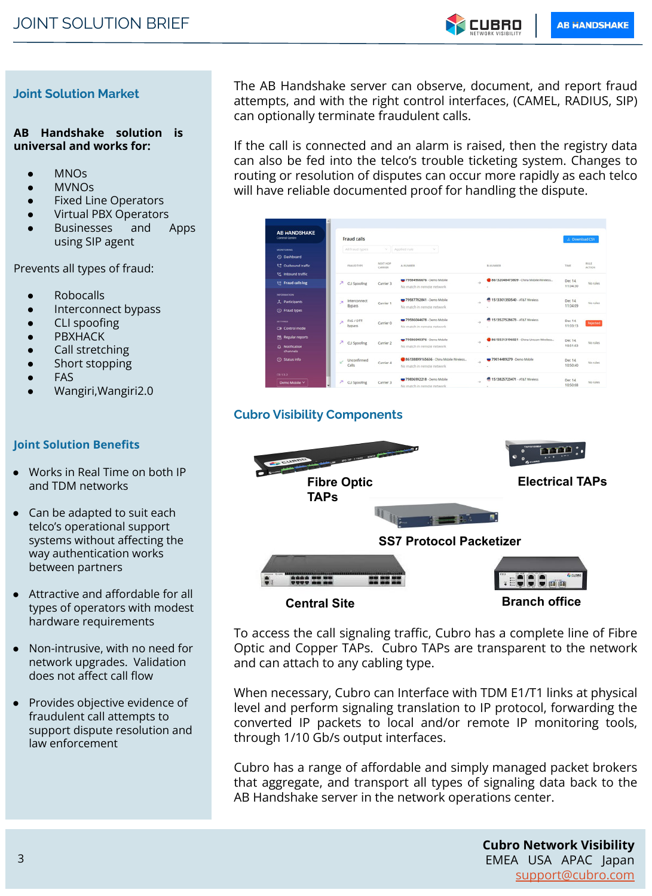**CUBRO AB HANDSHAKE** 

# **Joint Solution Market**

#### **AB Handshake solution is universal and works for:**

- **MNOs**
- **MVNOs**
- **Fixed Line Operators**
- Virtual PBX Operators<br>Businesses and
- Businesses and Apps using SIP agent

Prevents all types of fraud:

- **Robocalls**
- Interconnect bypass
- CLI spoofing
- **PBXHACK**
- Call stretching
- Short stopping
- **FAS**
- Wangiri,Wangiri2.0

### **Joint Solution Benefits**

- Works in Real Time on both IP and TDM networks
- Can be adapted to suit each telco's operational support systems without affecting the way authentication works between partners
- Attractive and affordable for all types of operators with modest hardware requirements
- Non-intrusive, with no need for network upgrades. Validation does not affect call flow
- Provides objective evidence of fraudulent call attempts to support dispute resolution and law enforcement

The AB Handshake server can observe, document, and report fraud attempts, and with the right control interfaces, (CAMEL, RADIUS, SIP) can optionally terminate fraudulent calls.

If the call is connected and an alarm is raised, then the registry data can also be fed into the telco's trouble ticketing system. Changes to routing or resolution of disputes can occur more rapidly as each telco will have reliable documented proof for handling the dispute.

| <b>AB HANDSHAKE</b><br><b>Control Centre</b> | <b>Fraud calls</b>                           |                     |                                                          |               |                                        | <b>J. Download CSV</b> |                       |
|----------------------------------------------|----------------------------------------------|---------------------|----------------------------------------------------------|---------------|----------------------------------------|------------------------|-----------------------|
| MONITORING                                   | All fraud types                              |                     | $V$ Applied rule<br>$\mathcal{L}_{\mathcal{L}}$          |               |                                        |                        |                       |
| <b>4</b> Dashboard                           |                                              |                     |                                                          |               |                                        |                        |                       |
| tt Outbound traffic                          | FRAUD TYPE                                   | NEXT HOP<br>CARRIER | <b>A-NUMBER</b>                                          |               | <b>B-MUMBER</b>                        | TIME                   | RULE<br><b>ACTION</b> |
| te Inbound traffic                           |                                              |                     |                                                          |               |                                        |                        |                       |
| <b>LE Fraud calls log</b>                    | 7 CLI Spoofing                               | Carrier 3           | 79584966676 - Demo Mobile<br>No match in remote network. | in p          | 86132048473809 - China Mobile Wireless | Dec 14.<br>11:04:30    |                       |
| <b>INFORMATION</b>                           |                                              | Carrier 1           | 79587782841 - Demo Mobile                                | $\sim$        | 1513301350540 - AT&T Wineless          | Dec 14.<br>11:04:09    | No rules              |
| 人 Participants                               | Interconnect<br>×<br><b>Bypass</b>           |                     | No match in remote network.                              |               |                                        |                        |                       |
| <b>CD</b> Fraud types                        |                                              |                     |                                                          |               |                                        |                        |                       |
| <b>SETTINGS</b>                              | <b>FAS / OTT</b><br>$\overline{\phantom{a}}$ | Carrier 0           | 79586044678 - Demo Mobile                                | $\rightarrow$ | 1513527528673 - AT&T Wireless          | Dec 14.                |                       |
| <b>CB</b> Control mode                       | bypass                                       |                     | No match in remote network                               |               |                                        | 11:03:13               | <b>Rejected</b>       |
| Regular reports                              |                                              | Carrier 2           | 79586040376 - Demo Mobile                                | $\rightarrow$ | 86155313196021 - China Unicom Wireless | Dec 14.<br>10:51:03    | No rules              |
| A Notification<br>channels                   | A CLI Spoofing                               |                     | No match in remote network.                              |               |                                        |                        |                       |
| C Status info                                | Unconfirmed<br>$\omega^{\prime}$             | Carrier 4           | 86138899165656 - China Mobile Wireless                   | $\rightarrow$ | 79014489279 - Demo Mobile              | Dec 14.                |                       |
|                                              | Calls                                        |                     | No match in remote network                               |               | $\sim$                                 | 10:50:40               |                       |
| C13.2                                        |                                              |                     | 79806992218 - Demo Mobile                                |               | 1513825723471 - AT&T Wireless          |                        |                       |
| Demo Mobile V                                | л<br>CU Spoofing                             | Carrier 3           | No match in remote network                               | $\sim$        | $\sim$                                 | Dec 14.<br>10:50:08    |                       |

# **Cubro Visibility Components**



To access the call signaling traffic, Cubro has a complete line of Fibre Optic and Copper TAPs. Cubro TAPs are transparent to the network and can attach to any cabling type.

When necessary, Cubro can Interface with TDM E1/T1 links at physical level and perform signaling translation to IP protocol, forwarding the converted IP packets to local and/or remote IP monitoring tools, through 1/10 Gb/s output interfaces.

Cubro has a range of affordable and simply managed packet brokers that aggregate, and transport all types of signaling data back to the AB Handshake server in the network operations center.